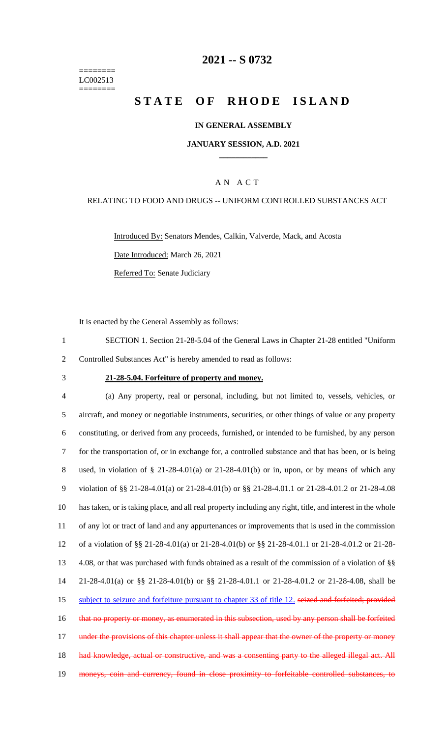======== LC002513 ========

### **2021 -- S 0732**

# **STATE OF RHODE ISLAND**

#### **IN GENERAL ASSEMBLY**

#### **JANUARY SESSION, A.D. 2021 \_\_\_\_\_\_\_\_\_\_\_\_**

### A N A C T

### RELATING TO FOOD AND DRUGS -- UNIFORM CONTROLLED SUBSTANCES ACT

Introduced By: Senators Mendes, Calkin, Valverde, Mack, and Acosta Date Introduced: March 26, 2021 Referred To: Senate Judiciary

It is enacted by the General Assembly as follows:

1 SECTION 1. Section 21-28-5.04 of the General Laws in Chapter 21-28 entitled "Uniform 2 Controlled Substances Act" is hereby amended to read as follows:

#### 3 **21-28-5.04. Forfeiture of property and money.**

 (a) Any property, real or personal, including, but not limited to, vessels, vehicles, or aircraft, and money or negotiable instruments, securities, or other things of value or any property constituting, or derived from any proceeds, furnished, or intended to be furnished, by any person for the transportation of, or in exchange for, a controlled substance and that has been, or is being used, in violation of § 21-28-4.01(a) or 21-28-4.01(b) or in, upon, or by means of which any violation of §§ 21-28-4.01(a) or 21-28-4.01(b) or §§ 21-28-4.01.1 or 21-28-4.01.2 or 21-28-4.08 has taken, or is taking place, and all real property including any right, title, and interest in the whole of any lot or tract of land and any appurtenances or improvements that is used in the commission of a violation of §§ 21-28-4.01(a) or 21-28-4.01(b) or §§ 21-28-4.01.1 or 21-28-4.01.2 or 21-28- 4.08, or that was purchased with funds obtained as a result of the commission of a violation of §§ 21-28-4.01(a) or §§ 21-28-4.01(b) or §§ 21-28-4.01.1 or 21-28-4.01.2 or 21-28-4.08, shall be 15 subject to seizure and forfeiture pursuant to chapter 33 of title 12, seized and forfeited; provided 16 that no property or money, as enumerated in this subsection, used by any person shall be forfeited 17 under the provisions of this chapter unless it shall appear that the owner of the property or money 18 had knowledge, actual or constructive, and was a consenting party to the alleged illegal act. All 19 moneys, coin and currency, found in close proximity to forfeitable controlled substances, to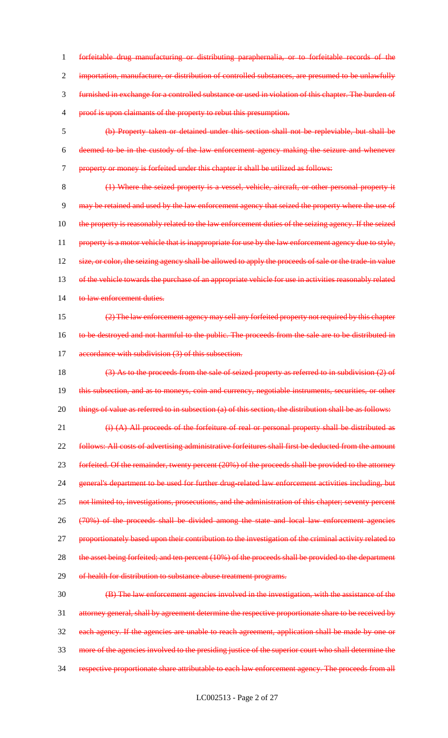1 forfeitable drug manufacturing or distributing paraphernalia, or to forfeitable records of the 2 importation, manufacture, or distribution of controlled substances, are presumed to be unlawfully 3 furnished in exchange for a controlled substance or used in violation of this chapter. The burden of 4 proof is upon claimants of the property to rebut this presumption. 5 (b) Property taken or detained under this section shall not be repleviable, but shall be 6 deemed to be in the custody of the law enforcement agency making the seizure and whenever 7 property or money is forfeited under this chapter it shall be utilized as follows: 8 (1) Where the seized property is a vessel, vehicle, aircraft, or other personal property it 9 may be retained and used by the law enforcement agency that seized the property where the use of 10 the property is reasonably related to the law enforcement duties of the seizing agency. If the seized 11 property is a motor vehicle that is inappropriate for use by the law enforcement agency due to style, 12 size, or color, the seizing agency shall be allowed to apply the proceeds of sale or the trade-in value 13 of the vehicle towards the purchase of an appropriate vehicle for use in activities reasonably related 14 to law enforcement duties. 15 (2) The law enforcement agency may sell any forfeited property not required by this chapter 16 to be destroyed and not harmful to the public. The proceeds from the sale are to be distributed in 17 accordance with subdivision (3) of this subsection. 18 (3) As to the proceeds from the sale of seized property as referred to in subdivision (2) of 19 this subsection, and as to moneys, coin and currency, negotiable instruments, securities, or other 20 things of value as referred to in subsection (a) of this section, the distribution shall be as follows: 21 (i) (A) All proceeds of the forfeiture of real or personal property shall be distributed as 22 follows: All costs of advertising administrative forfeitures shall first be deducted from the amount 23 forfeited. Of the remainder, twenty percent (20%) of the proceeds shall be provided to the attorney 24 general's department to be used for further drug-related law enforcement activities including, but 25 not limited to, investigations, prosecutions, and the administration of this chapter; seventy percent 26 (70%) of the proceeds shall be divided among the state and local law enforcement agencies

28 the asset being forfeited; and ten percent (10%) of the proceeds shall be provided to the department

27 proportionately based upon their contribution to the investigation of the criminal activity related to

29 of health for distribution to substance abuse treatment programs.

 (B) The law enforcement agencies involved in the investigation, with the assistance of the attorney general, shall by agreement determine the respective proportionate share to be received by each agency. If the agencies are unable to reach agreement, application shall be made by one or more of the agencies involved to the presiding justice of the superior court who shall determine the 34 respective proportionate share attributable to each law enforcement agency. The proceeds from all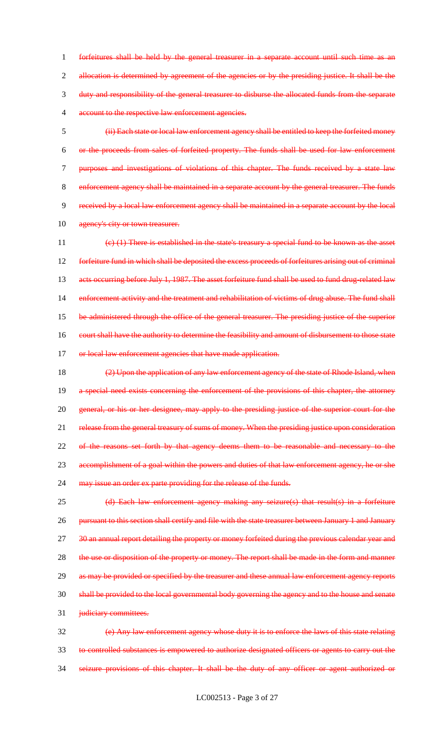forfeitures shall be held by the general treasurer in a separate account until such time as an 2 allocation is determined by agreement of the agencies or by the presiding justice. It shall be the duty and responsibility of the general treasurer to disburse the allocated funds from the separate account to the respective law enforcement agencies.

 (ii) Each state or local law enforcement agency shall be entitled to keep the forfeited money or the proceeds from sales of forfeited property. The funds shall be used for law enforcement 7 purposes and investigations of violations of this chapter. The funds received by a state law enforcement agency shall be maintained in a separate account by the general treasurer. The funds received by a local law enforcement agency shall be maintained in a separate account by the local 10 agency's city or town treasurer.

11 (c) (1) There is established in the state's treasury a special fund to be known as the asset 12 forfeiture fund in which shall be deposited the excess proceeds of forfeitures arising out of criminal 13 acts occurring before July 1, 1987. The asset forfeiture fund shall be used to fund drug-related law 14 enforcement activity and the treatment and rehabilitation of victims of drug abuse. The fund shall 15 be administered through the office of the general treasurer. The presiding justice of the superior 16 court shall have the authority to determine the feasibility and amount of disbursement to those state 17 or local law enforcement agencies that have made application.

18 (2) Upon the application of any law enforcement agency of the state of Rhode Island, when 19 a special need exists concerning the enforcement of the provisions of this chapter, the attorney 20 general, or his or her designee, may apply to the presiding justice of the superior court for the 21 release from the general treasury of sums of money. When the presiding justice upon consideration 22 of the reasons set forth by that agency deems them to be reasonable and necessary to the 23 accomplishment of a goal within the powers and duties of that law enforcement agency, he or she 24 may issue an order ex parte providing for the release of the funds.

25 (d) Each law enforcement agency making any seizure(s) that result(s) in a forfeiture 26 pursuant to this section shall certify and file with the state treasurer between January 1 and January 27 30 an annual report detailing the property or money forfeited during the previous calendar year and 28 the use or disposition of the property or money. The report shall be made in the form and manner 29 as may be provided or specified by the treasurer and these annual law enforcement agency reports 30 shall be provided to the local governmental body governing the agency and to the house and senate 31 *judiciary committees.* 

32 (e) Any law enforcement agency whose duty it is to enforce the laws of this state relating 33 to controlled substances is empowered to authorize designated officers or agents to carry out the 34 seizure provisions of this chapter. It shall be the duty of any officer or agent authorized or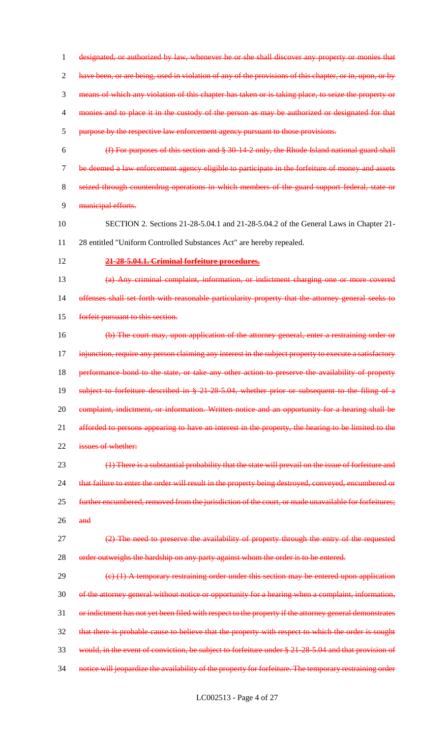designated, or authorized by law, whenever he or she shall discover any property or monies that 2 have been, or are being, used in violation of any of the provisions of this chapter, or in, upon, or by means of which any violation of this chapter has taken or is taking place, to seize the property or monies and to place it in the custody of the person as may be authorized or designated for that purpose by the respective law enforcement agency pursuant to those provisions. (f) For purposes of this section and § 30-14-2 only, the Rhode Island national guard shall 7 be deemed a law enforcement agency eligible to participate in the forfeiture of money and assets seized through counterdrug operations in which members of the guard support federal, state or municipal efforts. SECTION 2. Sections 21-28-5.04.1 and 21-28-5.04.2 of the General Laws in Chapter 21- 28 entitled "Uniform Controlled Substances Act" are hereby repealed. **21-28-5.04.1. Criminal forfeiture procedures.** (a) Any criminal complaint, information, or indictment charging one or more covered 14 offenses shall set forth with reasonable particularity property that the attorney general seeks to forfeit pursuant to this section. (b) The court may, upon application of the attorney general, enter a restraining order or 17 injunction, require any person claiming any interest in the subject property to execute a satisfactory 18 performance bond to the state, or take any other action to preserve the availability of property subject to forfeiture described in § 21-28-5.04, whether prior or subsequent to the filing of a 20 complaint, indictment, or information. Written notice and an opportunity for a hearing shall be 21 afforded to persons appearing to have an interest in the property, the hearing to be limited to the **issues of whether:**  (1) There is a substantial probability that the state will prevail on the issue of forfeiture and 24 that failure to enter the order will result in the property being destroyed, conveyed, encumbered or further encumbered, removed from the jurisdiction of the court, or made unavailable for forfeitures; and (2) The need to preserve the availability of property through the entry of the requested 28 order outweighs the hardship on any party against whom the order is to be entered.  $29 \left( \frac{c}{1} \right)$  A temporary restraining order under this section may be entered upon application of the attorney general without notice or opportunity for a hearing when a complaint, information, 31 or indictment has not yet been filed with respect to the property if the attorney general demonstrates that there is probable cause to believe that the property with respect to which the order is sought would, in the event of conviction, be subject to forfeiture under § 21-28-5.04 and that provision of 34 notice will jeopardize the availability of the property for forfeiture. The temporary restraining order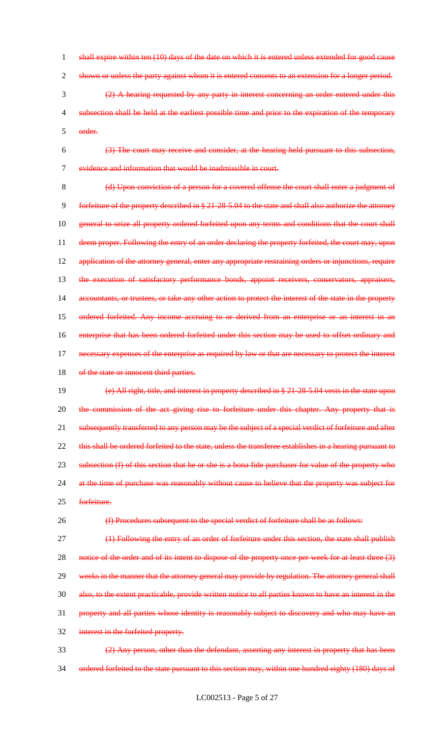1 shall expire within ten (10) days of the date on which it is entered unless extended for good cause 2 shown or unless the party against whom it is entered consents to an extension for a longer period. 3 (2) A hearing requested by any party in interest concerning an order entered under this 4 subsection shall be held at the earliest possible time and prior to the expiration of the temporary 5 order.

6 (3) The court may receive and consider, at the hearing held pursuant to this subsection, 7 evidence and information that would be inadmissible in court.

8 (d) Upon conviction of a person for a covered offense the court shall enter a judgment of 9 forfeiture of the property described in § 21-28-5.04 to the state and shall also authorize the attorney 10 general to seize all property ordered forfeited upon any terms and conditions that the court shall 11 deem proper. Following the entry of an order declaring the property forfeited, the court may, upon 12 application of the attorney general, enter any appropriate restraining orders or injunctions, require 13 the execution of satisfactory performance bonds, appoint receivers, conservators, appraisers, 14 accountants, or trustees, or take any other action to protect the interest of the state in the property 15 ordered forfeited. Any income accruing to or derived from an enterprise or an interest in an 16 enterprise that has been ordered forfeited under this section may be used to offset ordinary and 17 necessary expenses of the enterprise as required by law or that are necessary to protect the interest 18 of the state or innocent third parties.

19 (e) All right, title, and interest in property described in § 21-28-5.04 vests in the state upon 20 the commission of the act giving rise to forfeiture under this chapter. Any property that is 21 subsequently transferred to any person may be the subject of a special verdict of forfeiture and after 22 this shall be ordered forfeited to the state, unless the transferee establishes in a hearing pursuant to 23 subsection (f) of this section that he or she is a bona fide purchaser for value of the property who 24 at the time of purchase was reasonably without cause to believe that the property was subject for

25 forfeiture.

26 (f) Procedures subsequent to the special verdict of forfeiture shall be as follows:

27 (1) Following the entry of an order of forfeiture under this section, the state shall publish 28 notice of the order and of its intent to dispose of the property once per week for at least three (3) 29 weeks in the manner that the attorney general may provide by regulation. The attorney general shall 30 also, to the extent practicable, provide written notice to all parties known to have an interest in the 31 property and all parties whose identity is reasonably subject to discovery and who may have an 32 interest in the forfeited property.

33 (2) Any person, other than the defendant, asserting any interest in property that has been 34 ordered forfeited to the state pursuant to this section may, within one hundred eighty (180) days of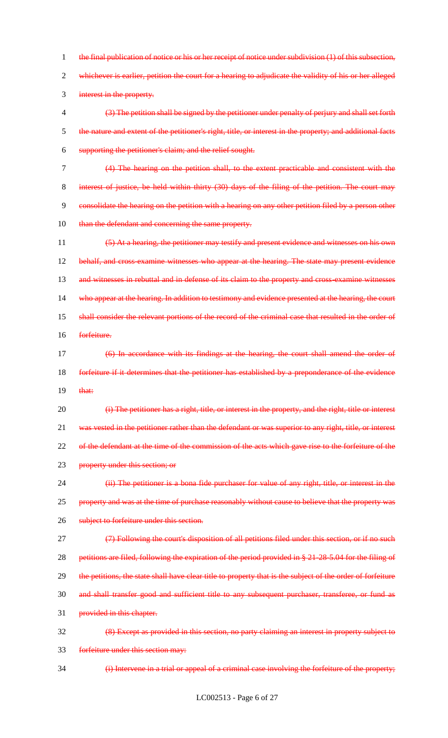1 the final publication of notice or his or her receipt of notice under subdivision (1) of this subsection, 2 whichever is earlier, petition the court for a hearing to adjudicate the validity of his or her alleged 3 interest in the property. 4 (3) The petition shall be signed by the petitioner under penalty of perjury and shall set forth 5 the nature and extent of the petitioner's right, title, or interest in the property; and additional facts 6 supporting the petitioner's claim; and the relief sought. 7 (4) The hearing on the petition shall, to the extent practicable and consistent with the 8 interest of justice, be held within thirty (30) days of the filing of the petition. The court may 9 consolidate the hearing on the petition with a hearing on any other petition filed by a person other 10 than the defendant and concerning the same property. 11 (5) At a hearing, the petitioner may testify and present evidence and witnesses on his own 12 behalf, and cross examine witnesses who appear at the hearing. The state may present evidence 13 and witnesses in rebuttal and in defense of its claim to the property and cross-examine witnesses 14 who appear at the hearing. In addition to testimony and evidence presented at the hearing, the court 15 shall consider the relevant portions of the record of the criminal case that resulted in the order of 16 forfeiture. 17 (6) In accordance with its findings at the hearing, the court shall amend the order of 18 forfeiture if it determines that the petitioner has established by a preponderance of the evidence  $19$  that: 20 (i) The petitioner has a right, title, or interest in the property, and the right, title or interest 21 was vested in the petitioner rather than the defendant or was superior to any right, title, or interest 22 of the defendant at the time of the commission of the acts which gave rise to the forfeiture of the 23 property under this section; or 24 (ii) The petitioner is a bona fide purchaser for value of any right, title, or interest in the 25 property and was at the time of purchase reasonably without cause to believe that the property was 26 subject to forfeiture under this section. 27 (7) Following the court's disposition of all petitions filed under this section, or if no such 28 petitions are filed, following the expiration of the period provided in § 21-28-5.04 for the filing of 29 the petitions, the state shall have clear title to property that is the subject of the order of forfeiture 30 and shall transfer good and sufficient title to any subsequent purchaser, transferee, or fund as 31 provided in this chapter. 32 (8) Except as provided in this section, no party claiming an interest in property subject to 33 forfeiture under this section may:

LC002513 - Page 6 of 27

34 (i) Intervene in a trial or appeal of a criminal case involving the forfeiture of the property;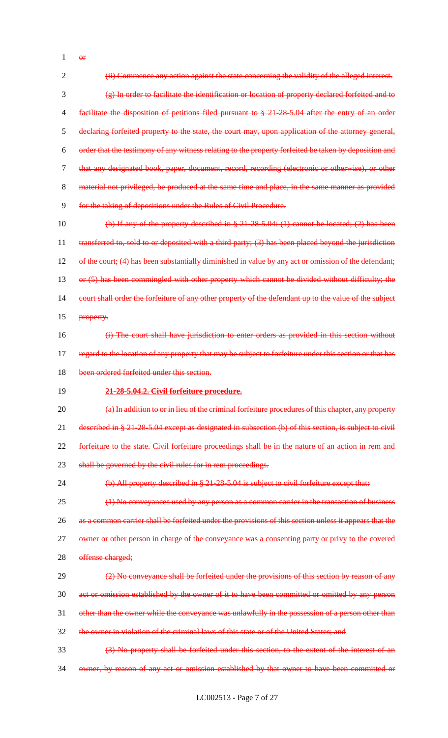or

 (ii) Commence any action against the state concerning the validity of the alleged interest. (g) In order to facilitate the identification or location of property declared forfeited and to facilitate the disposition of petitions filed pursuant to § 21-28-5.04 after the entry of an order declaring forfeited property to the state, the court may, upon application of the attorney general, order that the testimony of any witness relating to the property forfeited be taken by deposition and that any designated book, paper, document, record, recording (electronic or otherwise), or other material not privileged, be produced at the same time and place, in the same manner as provided for the taking of depositions under the Rules of Civil Procedure.

 (h) If any of the property described in § 21-28-5.04: (1) cannot be located; (2) has been 11 transferred to, sold to or deposited with a third party; (3) has been placed beyond the jurisdiction 12 of the court; (4) has been substantially diminished in value by any act or omission of the defendant; 13 or (5) has been commingled with other property which cannot be divided without difficulty; the 14 court shall order the forfeiture of any other property of the defendant up to the value of the subject **property.** 

 (i) The court shall have jurisdiction to enter orders as provided in this section without 17 regard to the location of any property that may be subject to forfeiture under this section or that has 18 been ordered forfeited under this section.

#### **21-28-5.04.2. Civil forfeiture procedure.**

 (a) In addition to or in lieu of the criminal forfeiture procedures of this chapter, any property described in § 21-28-5.04 except as designated in subsection (b) of this section, is subject to civil forfeiture to the state. Civil forfeiture proceedings shall be in the nature of an action in rem and 23 shall be governed by the civil rules for in rem proceedings.

(b) All property described in § 21-28-5.04 is subject to civil forfeiture except that:

 (1) No conveyances used by any person as a common carrier in the transaction of business 26 as a common carrier shall be forfeited under the provisions of this section unless it appears that the 27 owner or other person in charge of the conveyance was a consenting party or privy to the covered

28 offense charged;

 $(2)$  No conveyance shall be forfeited under the provisions of this section by reason of any act or omission established by the owner of it to have been committed or omitted by any person

- 31 other than the owner while the conveyance was unlawfully in the possession of a person other than
- the owner in violation of the criminal laws of this state or of the United States; and

(3) No property shall be forfeited under this section, to the extent of the interest of an

owner, by reason of any act or omission established by that owner to have been committed or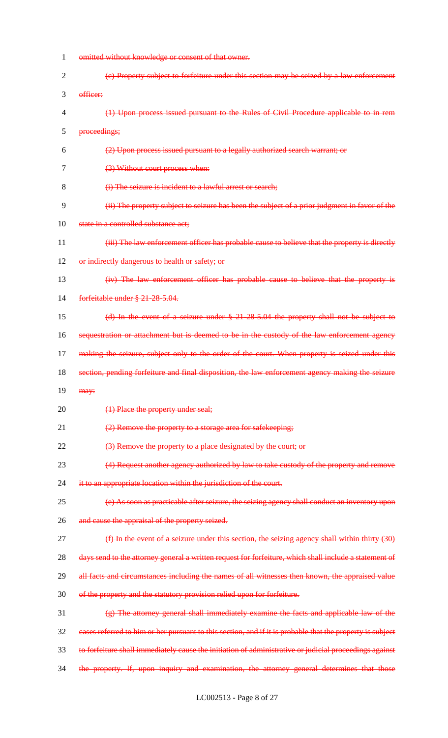| 1              | omitted without knowledge or consent of that owner.                                                       |
|----------------|-----------------------------------------------------------------------------------------------------------|
| $\overline{2}$ | (e) Property subject to forfeiture under this section may be seized by a law enforcement                  |
| 3              | officer:                                                                                                  |
| 4              | (1) Upon process issued pursuant to the Rules of Civil Procedure applicable to in rem                     |
| 5              | proceedings;                                                                                              |
| 6              | (2) Upon process issued pursuant to a legally authorized search warrant; or                               |
| 7              | (3) Without court process when:                                                                           |
| 8              | (i) The seizure is incident to a lawful arrest or search;                                                 |
| 9              | (ii) The property subject to seizure has been the subject of a prior judgment in favor of the             |
| 10             | state in a controlled substance act;                                                                      |
| 11             | (iii) The law enforcement officer has probable cause to believe that the property is directly             |
| 12             | or indirectly dangerous to health or safety; or                                                           |
| 13             | (iv) The law enforcement officer has probable cause to believe that the property is                       |
| 14             | forfeitable under § 21-28-5.04.                                                                           |
| 15             | (d) In the event of a seizure under $§$ 21-28-5.04 the property shall not be subject to                   |
| 16             | sequestration or attachment but is deemed to be in the custody of the law enforcement agency              |
| 17             | making the seizure, subject only to the order of the court. When property is seized under this            |
|                |                                                                                                           |
| 18             | section, pending forfeiture and final disposition, the law enforcement agency making the seizure          |
| 19             | may:                                                                                                      |
| 20             | (1) Place the property under seal;                                                                        |
| 21             | (2) Remove the property to a storage area for safekeeping;                                                |
| 22             | (3) Remove the property to a place designated by the court; or                                            |
| 23             | (4) Request another agency authorized by law to take custody of the property and remove                   |
| 24             | it to an appropriate location within the jurisdiction of the court.                                       |
| 25             | (e) As soon as practicable after seizure, the seizing agency shall conduct an inventory upon              |
| 26             | and cause the appraisal of the property seized.                                                           |
| 27             | (f) In the event of a seizure under this section, the seizing agency shall within thirty (30)             |
| 28             | days send to the attorney general a written request for forfeiture, which shall include a statement of    |
| 29             | all facts and circumstances including the names of all witnesses then known, the appraised value          |
| 30             | of the property and the statutory provision relied upon for forfeiture.                                   |
| 31             | (g) The attorney general shall immediately examine the facts and applicable law of the                    |
| 32             | eases referred to him or her pursuant to this section, and if it is probable that the property is subject |
| 33             | to forfeiture shall immediately cause the initiation of administrative or judicial proceedings against    |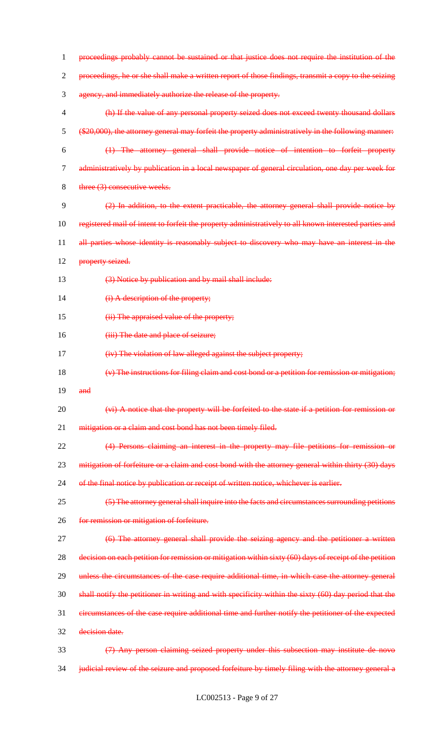| 1              | proceedings probably cannot be sustained or that justice does not require the institution of the        |
|----------------|---------------------------------------------------------------------------------------------------------|
| $\overline{2}$ | proceedings, he or she shall make a written report of those findings, transmit a copy to the seizing    |
| 3              | agency, and immediately authorize the release of the property.                                          |
| $\overline{4}$ | (h) If the value of any personal property seized does not exceed twenty thousand dollars                |
| 5              | (\$20,000), the attorney general may forfeit the property administratively in the following manner:     |
| 6              | (1) The attorney general shall provide notice of intention to forfeit property                          |
| $\tau$         | administratively by publication in a local newspaper of general circulation, one day per week for       |
| 8              | three (3) consecutive weeks.                                                                            |
| 9              | (2) In addition, to the extent practicable, the attorney general shall provide notice by                |
| 10             | registered mail of intent to forfeit the property administratively to all known interested parties and  |
| 11             | all parties whose identity is reasonably subject to discovery who may have an interest in the           |
| 12             | property seized.                                                                                        |
| 13             | (3) Notice by publication and by mail shall include:                                                    |
| 14             | (i) A description of the property;                                                                      |
| 15             | (ii) The appraised value of the property;                                                               |
| 16             | (iii) The date and place of seizure;                                                                    |
| 17             | (iv) The violation of law alleged against the subject property;                                         |
| 18             | (v) The instructions for filing claim and cost bond or a petition for remission or mitigation;          |
| 19             | and                                                                                                     |
| 20             | $(vi)$ A notice that the property will be forfeited to the state if a petition for remission or         |
| 21             | mitigation or a claim and cost bond has not been timely filed.                                          |
| 22             | (4) Persons claiming an interest in the property may file petitions for remission or                    |
| 23             | mitigation of forfeiture or a claim and cost bond with the attorney general within thirty (30) days     |
| 24             | of the final notice by publication or receipt of written notice, whichever is earlier.                  |
| 25             | (5) The attorney general shall inquire into the facts and circumstances surrounding petitions           |
| 26             | for remission or mitigation of forfeiture.                                                              |
| 27             | (6) The attorney general shall provide the seizing agency and the petitioner a written                  |
| 28             | decision on each petition for remission or mitigation within sixty (60) days of receipt of the petition |
| 29             | unless the circumstances of the case require additional time, in which case the attorney general        |
| 30             | shall notify the petitioner in writing and with specificity within the sixty (60) day period that the   |
| 31             | eircumstances of the case require additional time and further notify the petitioner of the expected     |
| 32             | decision date.                                                                                          |
| 33             | (7) Any person claiming seized property under this subsection may institute de novo                     |
| 34             | judicial review of the seizure and proposed forfeiture by timely filing with the attorney general a     |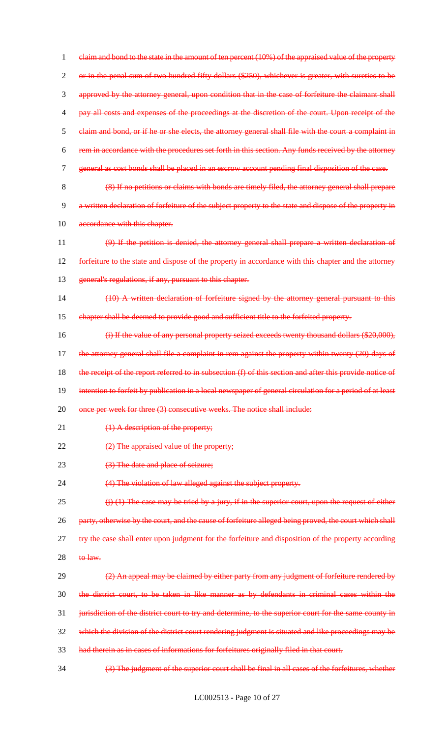1 elaim and bond to the state in the amount of ten percent (10%) of the appraised value of the property 2 or in the penal sum of two hundred fifty dollars (\$250), whichever is greater, with sureties to be 3 approved by the attorney general, upon condition that in the case of forfeiture the claimant shall 4 pay all costs and expenses of the proceedings at the discretion of the court. Upon receipt of the 5 claim and bond, or if he or she elects, the attorney general shall file with the court a complaint in 6 rem in accordance with the procedures set forth in this section. Any funds received by the attorney 7 general as cost bonds shall be placed in an escrow account pending final disposition of the case. 8 (8) If no petitions or claims with bonds are timely filed, the attorney general shall prepare 9 a written declaration of forfeiture of the subject property to the state and dispose of the property in 10 accordance with this chapter. 11 (9) If the petition is denied, the attorney general shall prepare a written declaration of 12 forfeiture to the state and dispose of the property in accordance with this chapter and the attorney 13 general's regulations, if any, pursuant to this chapter. 14 (10) A written declaration of forfeiture signed by the attorney general pursuant to this 15 chapter shall be deemed to provide good and sufficient title to the forfeited property. 16 (i) If the value of any personal property seized exceeds twenty thousand dollars (\$20,000), 17 the attorney general shall file a complaint in rem against the property within twenty (20) days of 18 the receipt of the report referred to in subsection (f) of this section and after this provide notice of 19 intention to forfeit by publication in a local newspaper of general circulation for a period of at least 20 once per week for three (3) consecutive weeks. The notice shall include: 21 (1) A description of the property; 22 (2) The appraised value of the property; 23 (3) The date and place of seizure; 24 (4) The violation of law alleged against the subject property. 25  $(i)$  (1) The case may be tried by a jury, if in the superior court, upon the request of either 26 party, otherwise by the court, and the cause of forfeiture alleged being proved, the court which shall 27 try the case shall enter upon judgment for the forfeiture and disposition of the property according  $28$  to law. 29 (2) An appeal may be claimed by either party from any judgment of forfeiture rendered by 30 the district court, to be taken in like manner as by defendants in criminal cases within the 31 jurisdiction of the district court to try and determine, to the superior court for the same county in 32 which the division of the district court rendering judgment is situated and like proceedings may be 33 had therein as in cases of informations for forfeitures originally filed in that court. 34 (3) The judgment of the superior court shall be final in all cases of the forfeitures, whether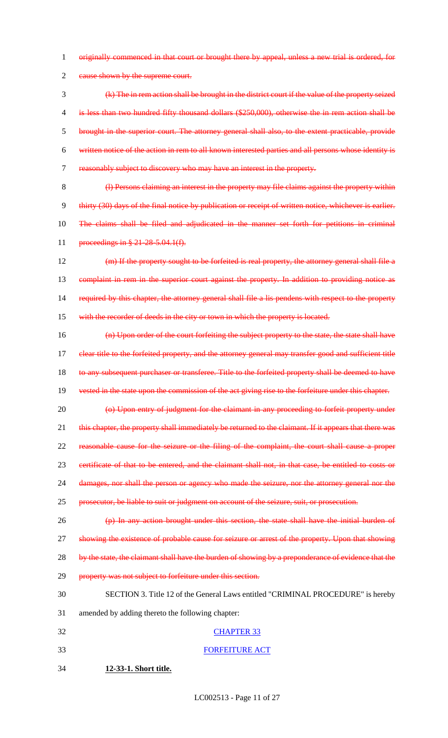1 originally commenced in that court or brought there by appeal, unless a new trial is ordered, for

2 eause shown by the supreme court.

 (k) The in rem action shall be brought in the district court if the value of the property seized is less than two hundred fifty thousand dollars (\$250,000), otherwise the in rem action shall be brought in the superior court. The attorney general shall also, to the extent practicable, provide written notice of the action in rem to all known interested parties and all persons whose identity is reasonably subject to discovery who may have an interest in the property.

8 (l) Persons claiming an interest in the property may file claims against the property within 9 thirty (30) days of the final notice by publication or receipt of written notice, whichever is earlier. 10 The claims shall be filed and adjudicated in the manner set forth for petitions in criminal 11 proceedings in § 21-28-5.04.1(f).

12 (m) If the property sought to be forfeited is real property, the attorney general shall file a 13 complaint in rem in the superior court against the property. In addition to providing notice as 14 required by this chapter, the attorney general shall file a lis pendens with respect to the property 15 with the recorder of deeds in the city or town in which the property is located.

16 (n) Upon order of the court forfeiting the subject property to the state, the state shall have 17 clear title to the forfeited property, and the attorney general may transfer good and sufficient title 18 to any subsequent purchaser or transferee. Title to the forfeited property shall be deemed to have

19 vested in the state upon the commission of the act giving rise to the forfeiture under this chapter.

20 (o) Upon entry of judgment for the claimant in any proceeding to forfeit property under 21 this chapter, the property shall immediately be returned to the claimant. If it appears that there was 22 reasonable cause for the seizure or the filing of the complaint, the court shall cause a proper

23 certificate of that to be entered, and the claimant shall not, in that case, be entitled to costs or

24 damages, nor shall the person or agency who made the seizure, nor the attorney general nor the

25 prosecutor, be liable to suit or judgment on account of the seizure, suit, or prosecution.

26 (p) In any action brought under this section, the state shall have the initial burden of 27 showing the existence of probable cause for seizure or arrest of the property. Upon that showing 28 by the state, the claimant shall have the burden of showing by a preponderance of evidence that the

29 property was not subject to forfeiture under this section.

#### 30 SECTION 3. Title 12 of the General Laws entitled "CRIMINAL PROCEDURE" is hereby

31 amended by adding thereto the following chapter:

- 32 CHAPTER 33
- 33 FORFEITURE ACT

34 **12-33-1. Short title.**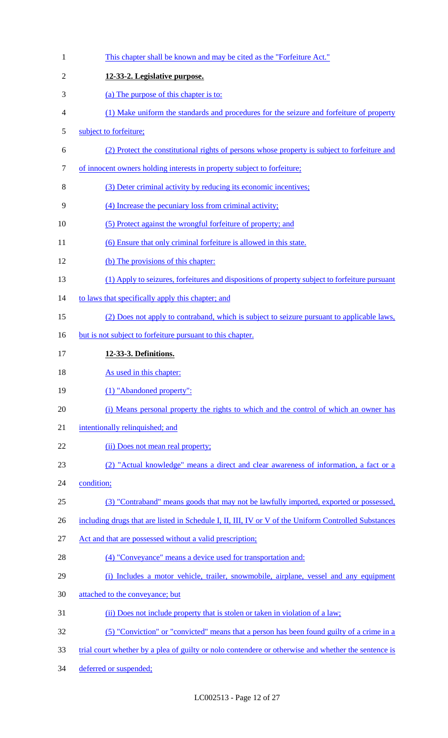| $\mathbf{1}$   | This chapter shall be known and may be cited as the "Forfeiture Act."                                |
|----------------|------------------------------------------------------------------------------------------------------|
| $\overline{2}$ | 12-33-2. Legislative purpose.                                                                        |
| 3              | (a) The purpose of this chapter is to:                                                               |
| 4              | (1) Make uniform the standards and procedures for the seizure and forfeiture of property             |
| 5              | subject to forfeiture;                                                                               |
| 6              | (2) Protect the constitutional rights of persons whose property is subject to forfeiture and         |
| 7              | of innocent owners holding interests in property subject to forfeiture;                              |
| 8              | (3) Deter criminal activity by reducing its economic incentives;                                     |
| 9              | (4) Increase the pecuniary loss from criminal activity;                                              |
| 10             | (5) Protect against the wrongful forfeiture of property; and                                         |
| 11             | (6) Ensure that only criminal forfeiture is allowed in this state.                                   |
| 12             | (b) The provisions of this chapter:                                                                  |
| 13             | (1) Apply to seizures, forfeitures and dispositions of property subject to forfeiture pursuant       |
| 14             | to laws that specifically apply this chapter; and                                                    |
| 15             | (2) Does not apply to contraband, which is subject to seizure pursuant to applicable laws,           |
| 16             | but is not subject to forfeiture pursuant to this chapter.                                           |
| 17             | 12-33-3. Definitions.                                                                                |
| 18             | As used in this chapter:                                                                             |
| 19             | (1) "Abandoned property":                                                                            |
| 20             | (i) Means personal property the rights to which and the control of which an owner has                |
| 21             | intentionally relinquished; and                                                                      |
| 22             | (ii) Does not mean real property;                                                                    |
| 23             | (2) "Actual knowledge" means a direct and clear awareness of information, a fact or a                |
| 24             | condition;                                                                                           |
| 25             | (3) "Contraband" means goods that may not be lawfully imported, exported or possessed,               |
| 26             | including drugs that are listed in Schedule I, II, III, IV or V of the Uniform Controlled Substances |
| 27             | Act and that are possessed without a valid prescription;                                             |
| 28             | (4) "Conveyance" means a device used for transportation and:                                         |
| 29             | (i) Includes a motor vehicle, trailer, snowmobile, airplane, vessel and any equipment                |
| 30             | attached to the conveyance; but                                                                      |
| 31             | (ii) Does not include property that is stolen or taken in violation of a law;                        |
| 32             | (5) "Conviction" or "convicted" means that a person has been found guilty of a crime in a            |
| 33             | trial court whether by a plea of guilty or nolo contendere or otherwise and whether the sentence is  |
| 34             | deferred or suspended;                                                                               |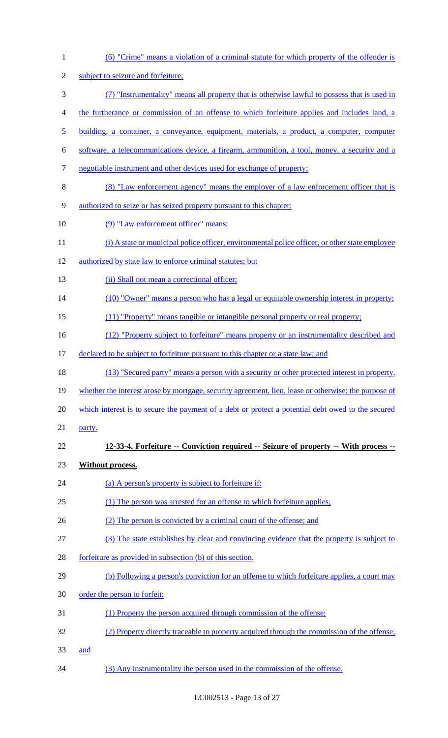| $\mathbf{1}$   | (6) "Crime" means a violation of a criminal statute for which property of the offender is            |
|----------------|------------------------------------------------------------------------------------------------------|
| $\overline{c}$ | subject to seizure and forfeiture;                                                                   |
| 3              | (7) "Instrumentality" means all property that is otherwise lawful to possess that is used in         |
| 4              | the furtherance or commission of an offense to which forfeiture applies and includes land, a         |
| $\mathfrak s$  | building, a container, a conveyance, equipment, materials, a product, a computer, computer           |
| 6              | software, a telecommunications device, a firearm, ammunition, a tool, money, a security and a        |
| $\tau$         | negotiable instrument and other devices used for exchange of property;                               |
| $8\,$          | (8) "Law enforcement agency" means the employer of a law enforcement officer that is                 |
| $\mathbf{9}$   | authorized to seize or has seized property pursuant to this chapter;                                 |
| 10             | (9) "Law enforcement officer" means:                                                                 |
| 11             | (i) A state or municipal police officer, environmental police officer, or other state employee       |
| 12             | authorized by state law to enforce criminal statutes; but                                            |
| 13             | (ii) Shall not mean a correctional officer;                                                          |
| 14             | (10) "Owner" means a person who has a legal or equitable ownership interest in property;             |
| 15             | (11) "Property" means tangible or intangible personal property or real property;                     |
| 16             | (12) "Property subject to forfeiture" means property or an instrumentality described and             |
| 17             | declared to be subject to forfeiture pursuant to this chapter or a state law; and                    |
| 18             | (13) "Secured party" means a person with a security or other protected interest in property,         |
| 19             | whether the interest arose by mortgage, security agreement, lien, lease or otherwise; the purpose of |
| 20             | which interest is to secure the payment of a debt or protect a potential debt owed to the secured    |
| 21             | party.                                                                                               |
| 22             | 12-33-4. Forfeiture -- Conviction required -- Seizure of property -- With process --                 |
| 23             | <b>Without process.</b>                                                                              |
| 24             | (a) A person's property is subject to forfeiture if:                                                 |
| 25             | (1) The person was arrested for an offense to which forfeiture applies;                              |
| 26             | (2) The person is convicted by a criminal court of the offense; and                                  |
| 27             | (3) The state establishes by clear and convincing evidence that the property is subject to           |
| 28             | forfeiture as provided in subsection (b) of this section.                                            |
| 29             | (b) Following a person's conviction for an offense to which forfeiture applies, a court may          |
| 30             | order the person to forfeit:                                                                         |
| 31             | (1) Property the person acquired through commission of the offense;                                  |
| 32             | (2) Property directly traceable to property acquired through the commission of the offense;          |
| 33             | and                                                                                                  |
| 34             | (3) Any instrumentality the person used in the commission of the offense.                            |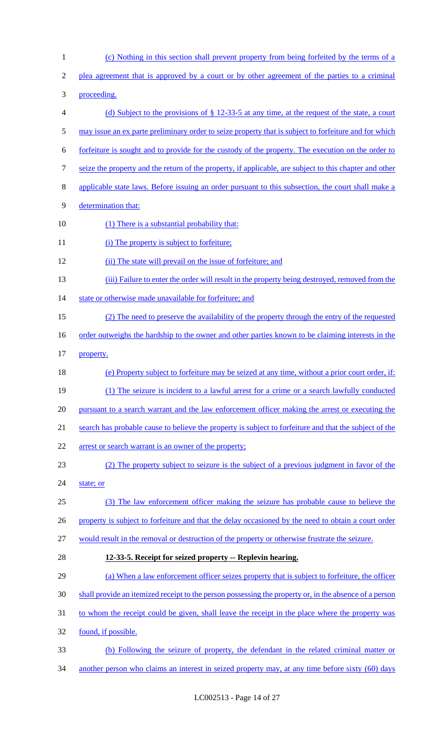| $\mathbf{1}$   | (c) Nothing in this section shall prevent property from being forfeited by the terms of a                |
|----------------|----------------------------------------------------------------------------------------------------------|
| $\overline{2}$ | plea agreement that is approved by a court or by other agreement of the parties to a criminal            |
| 3              | proceeding.                                                                                              |
| 4              | (d) Subject to the provisions of $\S$ 12-33-5 at any time, at the request of the state, a court          |
| 5              | may issue an ex parte preliminary order to seize property that is subject to forfeiture and for which    |
| 6              | forfeiture is sought and to provide for the custody of the property. The execution on the order to       |
| 7              | seize the property and the return of the property, if applicable, are subject to this chapter and other  |
| 8              | applicable state laws. Before issuing an order pursuant to this subsection, the court shall make a       |
| 9              | determination that:                                                                                      |
| 10             | (1) There is a substantial probability that:                                                             |
| 11             | (i) The property is subject to forfeiture;                                                               |
| 12             | (ii) The state will prevail on the issue of forfeiture; and                                              |
| 13             | (iii) Failure to enter the order will result in the property being destroyed, removed from the           |
| 14             | state or otherwise made unavailable for forfeiture; and                                                  |
| 15             | (2) The need to preserve the availability of the property through the entry of the requested             |
| 16             | <u>order outweighs the hardship to the owner and other parties known to be claiming interests in the</u> |
| 17             | property.                                                                                                |
| 18             | (e) Property subject to forfeiture may be seized at any time, without a prior court order, if:           |
| 19             | (1) The seizure is incident to a lawful arrest for a crime or a search lawfully conducted                |
| 20             | pursuant to a search warrant and the law enforcement officer making the arrest or executing the          |
| 21             | search has probable cause to believe the property is subject to forfeiture and that the subject of the   |
| 22             | arrest or search warrant is an owner of the property;                                                    |
| 23             | (2) The property subject to seizure is the subject of a previous judgment in favor of the                |
| 24             | state; or                                                                                                |
| 25             | (3) The law enforcement officer making the seizure has probable cause to believe the                     |
| 26             | property is subject to forfeiture and that the delay occasioned by the need to obtain a court order      |
| 27             | would result in the removal or destruction of the property or otherwise frustrate the seizure.           |
| 28             | 12-33-5. Receipt for seized property -- Replevin hearing.                                                |
| 29             | (a) When a law enforcement officer seizes property that is subject to forfeiture, the officer            |
| 30             | shall provide an itemized receipt to the person possessing the property or, in the absence of a person   |
| 31             | to whom the receipt could be given, shall leave the receipt in the place where the property was          |
| 32             | found, if possible.                                                                                      |
| 33             | (b) Following the seizure of property, the defendant in the related criminal matter or                   |
| 34             | another person who claims an interest in seized property may, at any time before sixty (60) days         |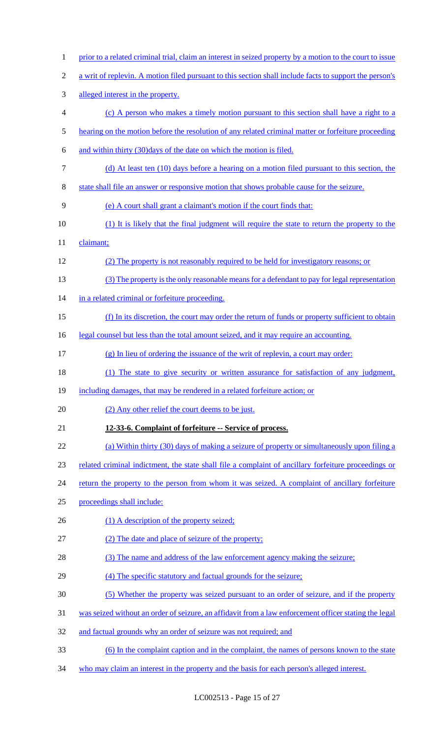| $\mathbf{1}$   | prior to a related criminal trial, claim an interest in seized property by a motion to the court to issue |
|----------------|-----------------------------------------------------------------------------------------------------------|
| $\overline{c}$ | a writ of replevin. A motion filed pursuant to this section shall include facts to support the person's   |
| 3              | alleged interest in the property.                                                                         |
| $\overline{4}$ | (c) A person who makes a timely motion pursuant to this section shall have a right to a                   |
| 5              | hearing on the motion before the resolution of any related criminal matter or forfeiture proceeding       |
| 6              | and within thirty (30) days of the date on which the motion is filed.                                     |
| $\tau$         | (d) At least ten (10) days before a hearing on a motion filed pursuant to this section, the               |
| $8\,$          | state shall file an answer or responsive motion that shows probable cause for the seizure.                |
| 9              | (e) A court shall grant a claimant's motion if the court finds that:                                      |
| 10             | (1) It is likely that the final judgment will require the state to return the property to the             |
| 11             | claimant;                                                                                                 |
| 12             | (2) The property is not reasonably required to be held for investigatory reasons; or                      |
| 13             | (3) The property is the only reasonable means for a defendant to pay for legal representation             |
| 14             | in a related criminal or forfeiture proceeding.                                                           |
| 15             | (f) In its discretion, the court may order the return of funds or property sufficient to obtain           |
| 16             | legal counsel but less than the total amount seized, and it may require an accounting.                    |
| 17             | (g) In lieu of ordering the issuance of the writ of replevin, a court may order:                          |
| 18             | (1) The state to give security or written assurance for satisfaction of any judgment,                     |
| 19             | including damages, that may be rendered in a related forfeiture action; or                                |
| 20             | (2) Any other relief the court deems to be just.                                                          |
| 21             | 12-33-6. Complaint of forfeiture -- Service of process.                                                   |
| 22             | (a) Within thirty (30) days of making a seizure of property or simultaneously upon filing a               |
| 23             | related criminal indictment, the state shall file a complaint of ancillary forfeiture proceedings or      |
| 24             | return the property to the person from whom it was seized. A complaint of ancillary forfeiture            |
| 25             | proceedings shall include:                                                                                |
| 26             | (1) A description of the property seized;                                                                 |
| 27             | (2) The date and place of seizure of the property;                                                        |
| 28             | (3) The name and address of the law enforcement agency making the seizure;                                |
| 29             | (4) The specific statutory and factual grounds for the seizure;                                           |
| 30             | (5) Whether the property was seized pursuant to an order of seizure, and if the property                  |
| 31             | was seized without an order of seizure, an affidavit from a law enforcement officer stating the legal     |
| 32             | and factual grounds why an order of seizure was not required; and                                         |
| 33             | (6) In the complaint caption and in the complaint, the names of persons known to the state                |
| 34             | who may claim an interest in the property and the basis for each person's alleged interest.               |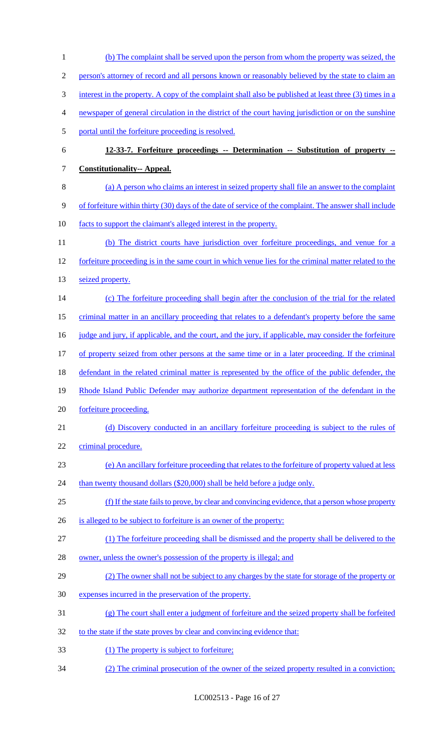(b) The complaint shall be served upon the person from whom the property was seized, the person's attorney of record and all persons known or reasonably believed by the state to claim an interest in the property. A copy of the complaint shall also be published at least three (3) times in a newspaper of general circulation in the district of the court having jurisdiction or on the sunshine portal until the forfeiture proceeding is resolved. **12-33-7. Forfeiture proceedings -- Determination -- Substitution of property -- Constitutionality-- Appeal.**  (a) A person who claims an interest in seized property shall file an answer to the complaint of forfeiture within thirty (30) days of the date of service of the complaint. The answer shall include facts to support the claimant's alleged interest in the property. (b) The district courts have jurisdiction over forfeiture proceedings, and venue for a 12 forfeiture proceeding is in the same court in which venue lies for the criminal matter related to the 13 seized property. (c) The forfeiture proceeding shall begin after the conclusion of the trial for the related criminal matter in an ancillary proceeding that relates to a defendant's property before the same 16 judge and jury, if applicable, and the court, and the jury, if applicable, may consider the forfeiture of property seized from other persons at the same time or in a later proceeding. If the criminal 18 defendant in the related criminal matter is represented by the office of the public defender, the 19 Rhode Island Public Defender may authorize department representation of the defendant in the forfeiture proceeding. 21 (d) Discovery conducted in an ancillary forfeiture proceeding is subject to the rules of 22 criminal procedure. (e) An ancillary forfeiture proceeding that relates to the forfeiture of property valued at less 24 than twenty thousand dollars (\$20,000) shall be held before a judge only. (f) If the state fails to prove, by clear and convincing evidence, that a person whose property 26 is alleged to be subject to forfeiture is an owner of the property: (1) The forfeiture proceeding shall be dismissed and the property shall be delivered to the 28 owner, unless the owner's possession of the property is illegal; and (2) The owner shall not be subject to any charges by the state for storage of the property or expenses incurred in the preservation of the property. (g) The court shall enter a judgment of forfeiture and the seized property shall be forfeited 32 to the state if the state proves by clear and convincing evidence that: 33 (1) The property is subject to forfeiture; (2) The criminal prosecution of the owner of the seized property resulted in a conviction;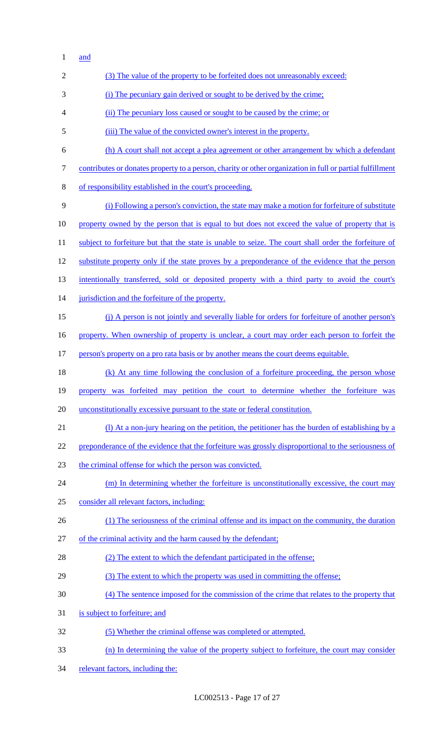and

| $\overline{c}$ | (3) The value of the property to be forfeited does not unreasonably exceed:                               |
|----------------|-----------------------------------------------------------------------------------------------------------|
| 3              | (i) The pecuniary gain derived or sought to be derived by the crime:                                      |
| 4              | (ii) The pecuniary loss caused or sought to be caused by the crime; or                                    |
| 5              | (iii) The value of the convicted owner's interest in the property.                                        |
| 6              | (h) A court shall not accept a plea agreement or other arrangement by which a defendant                   |
| $\tau$         | contributes or donates property to a person, charity or other organization in full or partial fulfillment |
| $8\phantom{1}$ | of responsibility established in the court's proceeding.                                                  |
| 9              | (i) Following a person's conviction, the state may make a motion for forfeiture of substitute             |
| 10             | property owned by the person that is equal to but does not exceed the value of property that is           |
| 11             | subject to forfeiture but that the state is unable to seize. The court shall order the forfeiture of      |
| 12             | substitute property only if the state proves by a preponderance of the evidence that the person           |
| 13             | intentionally transferred, sold or deposited property with a third party to avoid the court's             |
| 14             | jurisdiction and the forfeiture of the property.                                                          |
| 15             | (j) A person is not jointly and severally liable for orders for forfeiture of another person's            |
| 16             | property. When ownership of property is unclear, a court may order each person to forfeit the             |
| 17             | person's property on a pro rata basis or by another means the court deems equitable.                      |
| 18             | (k) At any time following the conclusion of a forfeiture proceeding, the person whose                     |
| 19             | property was forfeited may petition the court to determine whether the forfeiture was                     |
| 20             | unconstitutionally excessive pursuant to the state or federal constitution.                               |
| 21             | (1) At a non-jury hearing on the petition, the petitioner has the burden of establishing by a             |
| 22             | preponderance of the evidence that the forfeiture was grossly disproportional to the seriousness of       |
| 23             | the criminal offense for which the person was convicted.                                                  |
| 24             | (m) In determining whether the forfeiture is unconstitutionally excessive, the court may                  |
| 25             | consider all relevant factors, including:                                                                 |
| 26             | (1) The seriousness of the criminal offense and its impact on the community, the duration                 |
| 27             | of the criminal activity and the harm caused by the defendant;                                            |
| 28             | (2) The extent to which the defendant participated in the offense;                                        |
| 29             | (3) The extent to which the property was used in committing the offense;                                  |
| 30             | (4) The sentence imposed for the commission of the crime that relates to the property that                |
| 31             | is subject to forfeiture; and                                                                             |
| 32             | (5) Whether the criminal offense was completed or attempted.                                              |
| 33             | (n) In determining the value of the property subject to forfeiture, the court may consider                |
| 34             | relevant factors, including the:                                                                          |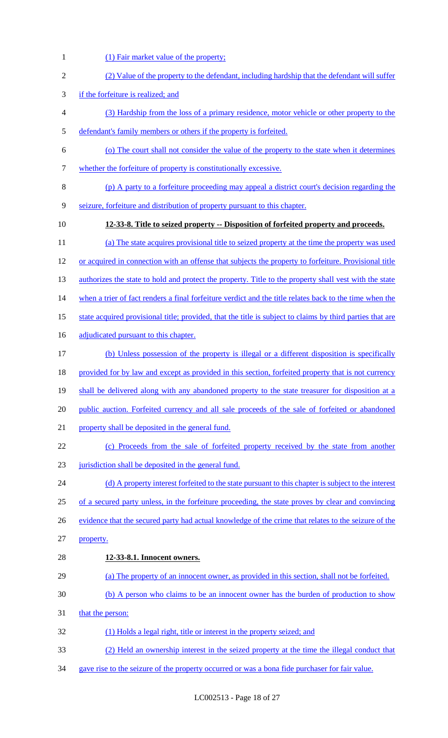- (2) Value of the property to the defendant, including hardship that the defendant will suffer if the forfeiture is realized; and (3) Hardship from the loss of a primary residence, motor vehicle or other property to the defendant's family members or others if the property is forfeited. (o) The court shall not consider the value of the property to the state when it determines whether the forfeiture of property is constitutionally excessive. (p) A party to a forfeiture proceeding may appeal a district court's decision regarding the seizure, forfeiture and distribution of property pursuant to this chapter. **12-33-8. Title to seized property -- Disposition of forfeited property and proceeds.**  (a) The state acquires provisional title to seized property at the time the property was used or acquired in connection with an offense that subjects the property to forfeiture. Provisional title 13 authorizes the state to hold and protect the property. Title to the property shall vest with the state when a trier of fact renders a final forfeiture verdict and the title relates back to the time when the 15 state acquired provisional title; provided, that the title is subject to claims by third parties that are 16 adjudicated pursuant to this chapter. (b) Unless possession of the property is illegal or a different disposition is specifically 18 provided for by law and except as provided in this section, forfeited property that is not currency 19 shall be delivered along with any abandoned property to the state treasurer for disposition at a public auction. Forfeited currency and all sale proceeds of the sale of forfeited or abandoned
- property shall be deposited in the general fund.

(1) Fair market value of the property;

- (c) Proceeds from the sale of forfeited property received by the state from another 23 jurisdiction shall be deposited in the general fund.
- 24 (d) A property interest forfeited to the state pursuant to this chapter is subject to the interest of a secured party unless, in the forfeiture proceeding, the state proves by clear and convincing 26 evidence that the secured party had actual knowledge of the crime that relates to the seizure of the property.
- **12-33-8.1. Innocent owners.**
- (a) The property of an innocent owner, as provided in this section, shall not be forfeited.
- (b) A person who claims to be an innocent owner has the burden of production to show
- that the person:
- (1) Holds a legal right, title or interest in the property seized; and
- (2) Held an ownership interest in the seized property at the time the illegal conduct that
- gave rise to the seizure of the property occurred or was a bona fide purchaser for fair value.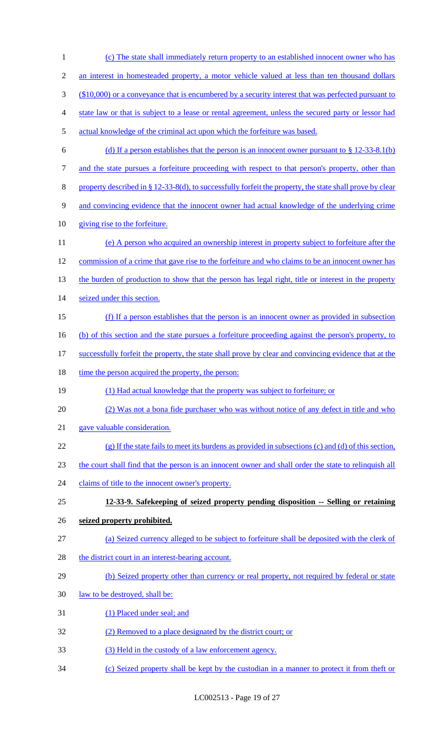(c) The state shall immediately return property to an established innocent owner who has an interest in homesteaded property, a motor vehicle valued at less than ten thousand dollars (\$10,000) or a conveyance that is encumbered by a security interest that was perfected pursuant to state law or that is subject to a lease or rental agreement, unless the secured party or lessor had actual knowledge of the criminal act upon which the forfeiture was based. 6 (d) If a person establishes that the person is an innocent owner pursuant to  $\S$  12-33-8.1(b) 7 and the state pursues a forfeiture proceeding with respect to that person's property, other than 8 property described in § 12-33-8(d), to successfully forfeit the property, the state shall prove by clear and convincing evidence that the innocent owner had actual knowledge of the underlying crime giving rise to the forfeiture. (e) A person who acquired an ownership interest in property subject to forfeiture after the commission of a crime that gave rise to the forfeiture and who claims to be an innocent owner has 13 the burden of production to show that the person has legal right, title or interest in the property seized under this section. (f) If a person establishes that the person is an innocent owner as provided in subsection (b) of this section and the state pursues a forfeiture proceeding against the person's property, to successfully forfeit the property, the state shall prove by clear and convincing evidence that at the 18 time the person acquired the property, the person: (1) Had actual knowledge that the property was subject to forfeiture; or (2) Was not a bona fide purchaser who was without notice of any defect in title and who gave valuable consideration. (g) If the state fails to meet its burdens as provided in subsections (c) and (d) of this section, the court shall find that the person is an innocent owner and shall order the state to relinquish all 24 claims of title to the innocent owner's property. **12-33-9. Safekeeping of seized property pending disposition -- Selling or retaining seized property prohibited.**  (a) Seized currency alleged to be subject to forfeiture shall be deposited with the clerk of 28 the district court in an interest-bearing account. 29 (b) Seized property other than currency or real property, not required by federal or state 30 <u>law to be destroyed, shall be:</u> (1) Placed under seal; and (2) Removed to a place designated by the district court; or (3) Held in the custody of a law enforcement agency. (c) Seized property shall be kept by the custodian in a manner to protect it from theft or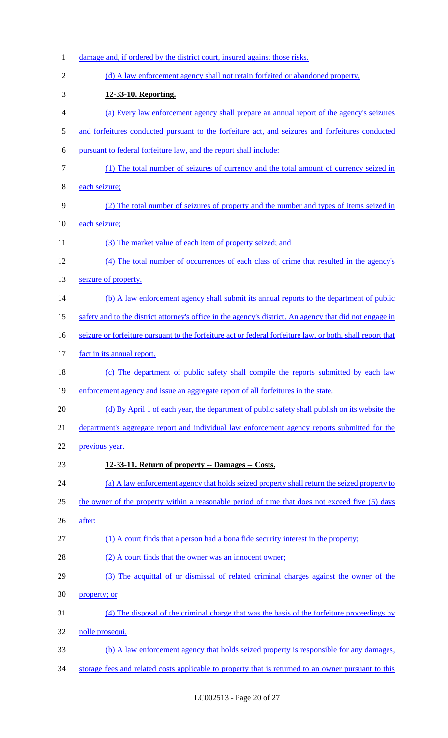| $\mathbf{1}$   | damage and, if ordered by the district court, insured against those risks.                                 |
|----------------|------------------------------------------------------------------------------------------------------------|
| $\overline{2}$ | (d) A law enforcement agency shall not retain forfeited or abandoned property.                             |
| 3              | 12-33-10. Reporting.                                                                                       |
| 4              | (a) Every law enforcement agency shall prepare an annual report of the agency's seizures                   |
| 5              | and forfeitures conducted pursuant to the forfeiture act, and seizures and forfeitures conducted           |
| 6              | pursuant to federal forfeiture law, and the report shall include:                                          |
| 7              | (1) The total number of seizures of currency and the total amount of currency seized in                    |
| 8              | each seizure;                                                                                              |
| 9              | (2) The total number of seizures of property and the number and types of items seized in                   |
| 10             | each seizure;                                                                                              |
| 11             | (3) The market value of each item of property seized; and                                                  |
| 12             | (4) The total number of occurrences of each class of crime that resulted in the agency's                   |
| 13             | seizure of property.                                                                                       |
| 14             | (b) A law enforcement agency shall submit its annual reports to the department of public                   |
| 15             | safety and to the district attorney's office in the agency's district. An agency that did not engage in    |
| 16             | seizure or forfeiture pursuant to the forfeiture act or federal forfeiture law, or both, shall report that |
| 17             | fact in its annual report.                                                                                 |
| 18             | (c) The department of public safety shall compile the reports submitted by each law                        |
| 19             | enforcement agency and issue an aggregate report of all forfeitures in the state.                          |
| 20             | (d) By April 1 of each year, the department of public safety shall publish on its website the              |
| 21             | department's aggregate report and individual law enforcement agency reports submitted for the              |
| 22             | previous year.                                                                                             |
| 23             | 12-33-11. Return of property -- Damages -- Costs.                                                          |
| 24             | (a) A law enforcement agency that holds seized property shall return the seized property to                |
| 25             | the owner of the property within a reasonable period of time that does not exceed five (5) days            |
| 26             | after:                                                                                                     |
| 27             | (1) A court finds that a person had a bona fide security interest in the property;                         |
| 28             | (2) A court finds that the owner was an innocent owner;                                                    |
| 29             | (3) The acquittal of or dismissal of related criminal charges against the owner of the                     |
| 30             | property; or                                                                                               |
| 31             | (4) The disposal of the criminal charge that was the basis of the forfeiture proceedings by                |
| 32             | nolle prosequi.                                                                                            |
| 33             | (b) A law enforcement agency that holds seized property is responsible for any damages,                    |
| 34             | storage fees and related costs applicable to property that is returned to an owner pursuant to this        |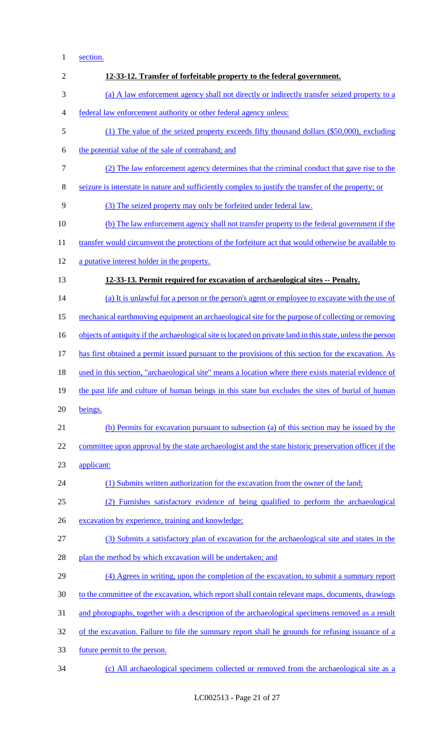1 section.

| $\overline{c}$ | 12-33-12. Transfer of forfeitable property to the federal government.                                       |
|----------------|-------------------------------------------------------------------------------------------------------------|
| 3              | (a) A law enforcement agency shall not directly or indirectly transfer seized property to a                 |
| 4              | federal law enforcement authority or other federal agency unless:                                           |
| 5              | (1) The value of the seized property exceeds fifty thousand dollars (\$50,000), excluding                   |
| 6              | the potential value of the sale of contraband; and                                                          |
| 7              | (2) The law enforcement agency determines that the criminal conduct that gave rise to the                   |
| 8              | seizure is interstate in nature and sufficiently complex to justify the transfer of the property; or        |
| 9              | (3) The seized property may only be forfeited under federal law.                                            |
| 10             | (b) The law enforcement agency shall not transfer property to the federal government if the                 |
| 11             | transfer would circumvent the protections of the forfeiture act that would otherwise be available to        |
| 12             | a putative interest holder in the property.                                                                 |
| 13             | 12-33-13. Permit required for excavation of archaeological sites -- Penalty.                                |
| 14             | (a) It is unlawful for a person or the person's agent or employee to excavate with the use of               |
| 15             | mechanical earthmoving equipment an archaeological site for the purpose of collecting or removing           |
| 16             | objects of antiquity if the archaeological site is located on private land in this state, unless the person |
| 17             | has first obtained a permit issued pursuant to the provisions of this section for the excavation. As        |
| 18             | used in this section, "archaeological site" means a location where there exists material evidence of        |
| 19             | the past life and culture of human beings in this state but excludes the sites of burial of human           |
| 20             | beings.                                                                                                     |
| 21             | (b) Permits for excavation pursuant to subsection (a) of this section may be issued by the                  |
| 22             | committee upon approval by the state archaeologist and the state historic preservation officer if the       |
| 23             | applicant:                                                                                                  |
| 24             | (1) Submits written authorization for the excavation from the owner of the land;                            |
| 25             | (2) Furnishes satisfactory evidence of being qualified to perform the archaeological                        |
| 26             | excavation by experience, training and knowledge;                                                           |
| 27             | (3) Submits a satisfactory plan of excavation for the archaeological site and states in the                 |
| 28             | plan the method by which excavation will be undertaken; and                                                 |
| 29             | (4) Agrees in writing, upon the completion of the excavation, to submit a summary report                    |
| 30             | to the committee of the excavation, which report shall contain relevant maps, documents, drawings           |
| 31             | and photographs, together with a description of the archaeological specimens removed as a result            |
| 32             | of the excavation. Failure to file the summary report shall be grounds for refusing issuance of a           |
| 33             | future permit to the person.                                                                                |

34 (c) All archaeological specimens collected or removed from the archaeological site as a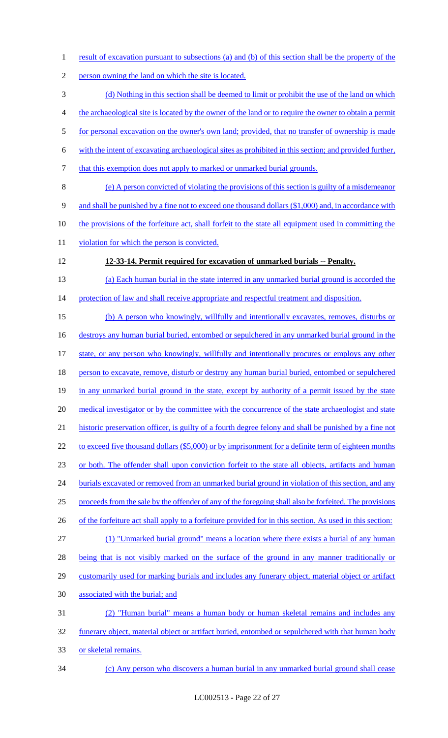1 result of excavation pursuant to subsections (a) and (b) of this section shall be the property of the 2 person owning the land on which the site is located. 3 (d) Nothing in this section shall be deemed to limit or prohibit the use of the land on which 4 the archaeological site is located by the owner of the land or to require the owner to obtain a permit 5 for personal excavation on the owner's own land; provided, that no transfer of ownership is made 6 with the intent of excavating archaeological sites as prohibited in this section; and provided further, 7 that this exemption does not apply to marked or unmarked burial grounds. 8 (e) A person convicted of violating the provisions of this section is guilty of a misdemeanor 9 and shall be punished by a fine not to exceed one thousand dollars (\$1,000) and, in accordance with 10 the provisions of the forfeiture act, shall forfeit to the state all equipment used in committing the 11 violation for which the person is convicted. 12 **12-33-14. Permit required for excavation of unmarked burials -- Penalty.**  13 (a) Each human burial in the state interred in any unmarked burial ground is accorded the 14 protection of law and shall receive appropriate and respectful treatment and disposition. 15 (b) A person who knowingly, willfully and intentionally excavates, removes, disturbs or 16 destroys any human burial buried, entombed or sepulchered in any unmarked burial ground in the 17 state, or any person who knowingly, willfully and intentionally procures or employs any other 18 person to excavate, remove, disturb or destroy any human burial buried, entombed or sepulchered 19 in any unmarked burial ground in the state, except by authority of a permit issued by the state 20 medical investigator or by the committee with the concurrence of the state archaeologist and state 21 historic preservation officer, is guilty of a fourth degree felony and shall be punished by a fine not 22 to exceed five thousand dollars (\$5,000) or by imprisonment for a definite term of eighteen months 23 or both. The offender shall upon conviction forfeit to the state all objects, artifacts and human 24 burials excavated or removed from an unmarked burial ground in violation of this section, and any 25 proceeds from the sale by the offender of any of the foregoing shall also be forfeited. The provisions 26 of the forfeiture act shall apply to a forfeiture provided for in this section. As used in this section: 27 (1) "Unmarked burial ground" means a location where there exists a burial of any human 28 being that is not visibly marked on the surface of the ground in any manner traditionally or 29 customarily used for marking burials and includes any funerary object, material object or artifact 30 associated with the burial; and 31 (2) "Human burial" means a human body or human skeletal remains and includes any 32 funerary object, material object or artifact buried, entombed or sepulchered with that human body 33 or skeletal remains. 34 (c) Any person who discovers a human burial in any unmarked burial ground shall cease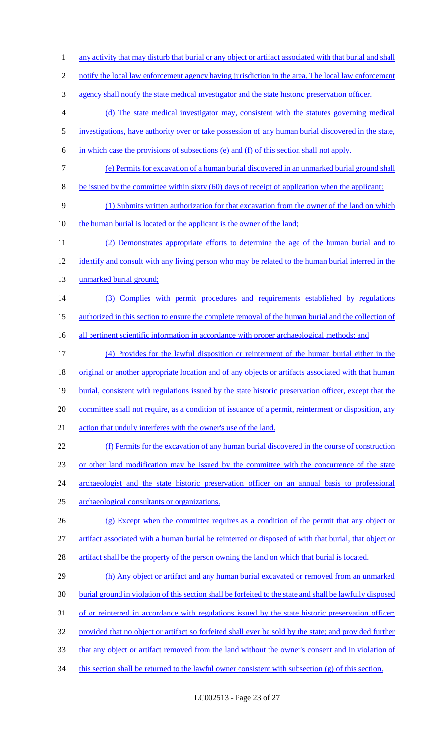- 1 any activity that may disturb that burial or any object or artifact associated with that burial and shall
- 2 notify the local law enforcement agency having jurisdiction in the area. The local law enforcement
- 3 agency shall notify the state medical investigator and the state historic preservation officer.
- 4 (d) The state medical investigator may, consistent with the statutes governing medical
- 5 investigations, have authority over or take possession of any human burial discovered in the state,
- 6 in which case the provisions of subsections (e) and (f) of this section shall not apply.
- 7 (e) Permits for excavation of a human burial discovered in an unmarked burial ground shall
- 8 be issued by the committee within sixty (60) days of receipt of application when the applicant:
- 9 (1) Submits written authorization for that excavation from the owner of the land on which
- 10 the human burial is located or the applicant is the owner of the land;
- 11 (2) Demonstrates appropriate efforts to determine the age of the human burial and to 12 identify and consult with any living person who may be related to the human burial interred in the 13 unmarked burial ground;
- 14 (3) Complies with permit procedures and requirements established by regulations
- 15 authorized in this section to ensure the complete removal of the human burial and the collection of
- 16 all pertinent scientific information in accordance with proper archaeological methods; and
- 17 (4) Provides for the lawful disposition or reinterment of the human burial either in the 18 original or another appropriate location and of any objects or artifacts associated with that human 19 burial, consistent with regulations issued by the state historic preservation officer, except that the 20 committee shall not require, as a condition of issuance of a permit, reinterment or disposition, any 21 action that unduly interferes with the owner's use of the land.
- 
- 22 (f) Permits for the excavation of any human burial discovered in the course of construction 23 or other land modification may be issued by the committee with the concurrence of the state 24 archaeologist and the state historic preservation officer on an annual basis to professional 25 archaeological consultants or organizations.
- 26 (g) Except when the committee requires as a condition of the permit that any object or 27 artifact associated with a human burial be reinterred or disposed of with that burial, that object or 28 artifact shall be the property of the person owning the land on which that burial is located.
- 29 (h) Any object or artifact and any human burial excavated or removed from an unmarked 30 burial ground in violation of this section shall be forfeited to the state and shall be lawfully disposed 31 of or reinterred in accordance with regulations issued by the state historic preservation officer; 32 provided that no object or artifact so forfeited shall ever be sold by the state; and provided further 33 that any object or artifact removed from the land without the owner's consent and in violation of
- 34 this section shall be returned to the lawful owner consistent with subsection (g) of this section.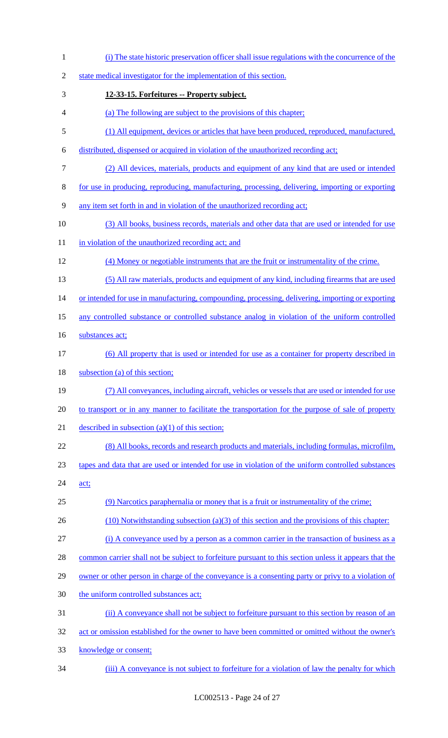| $\mathbf{1}$   | (i) The state historic preservation officer shall issue regulations with the concurrence of the       |
|----------------|-------------------------------------------------------------------------------------------------------|
| $\overline{2}$ | state medical investigator for the implementation of this section.                                    |
| 3              | 12-33-15. Forfeitures -- Property subject.                                                            |
| 4              | (a) The following are subject to the provisions of this chapter;                                      |
| 5              | (1) All equipment, devices or articles that have been produced, reproduced, manufactured,             |
| 6              | distributed, dispensed or acquired in violation of the unauthorized recording act;                    |
| 7              | (2) All devices, materials, products and equipment of any kind that are used or intended              |
| 8              | for use in producing, reproducing, manufacturing, processing, delivering, importing or exporting      |
| 9              | any item set forth in and in violation of the unauthorized recording act;                             |
| 10             | (3) All books, business records, materials and other data that are used or intended for use           |
| 11             | in violation of the unauthorized recording act; and                                                   |
| 12             | (4) Money or negotiable instruments that are the fruit or instrumentality of the crime.               |
| 13             | (5) All raw materials, products and equipment of any kind, including firearms that are used           |
| 14             | or intended for use in manufacturing, compounding, processing, delivering, importing or exporting     |
| 15             | any controlled substance or controlled substance analog in violation of the uniform controlled        |
| 16             | substances act;                                                                                       |
| 17             | (6) All property that is used or intended for use as a container for property described in            |
| 18             | subsection (a) of this section;                                                                       |
| 19             | (7) All conveyances, including aircraft, vehicles or vessels that are used or intended for use        |
| 20             | to transport or in any manner to facilitate the transportation for the purpose of sale of property    |
| 21             | described in subsection $(a)(1)$ of this section;                                                     |
| 22             | (8) All books, records and research products and materials, including formulas, microfilm,            |
| 23             | tapes and data that are used or intended for use in violation of the uniform controlled substances    |
| 24             | act;                                                                                                  |
| 25             | (9) Narcotics paraphernalia or money that is a fruit or instrumentality of the crime;                 |
| 26             | $(10)$ Notwithstanding subsection $(a)(3)$ of this section and the provisions of this chapter:        |
| 27             |                                                                                                       |
| 28             | (i) A conveyance used by a person as a common carrier in the transaction of business as a             |
|                | common carrier shall not be subject to forfeiture pursuant to this section unless it appears that the |
| 29             | owner or other person in charge of the conveyance is a consenting party or privy to a violation of    |
| 30             | the uniform controlled substances act;                                                                |
| 31             | (ii) A conveyance shall not be subject to forfeiture pursuant to this section by reason of an         |
| 32             | act or omission established for the owner to have been committed or omitted without the owner's       |

(iii) A conveyance is not subject to forfeiture for a violation of law the penalty for which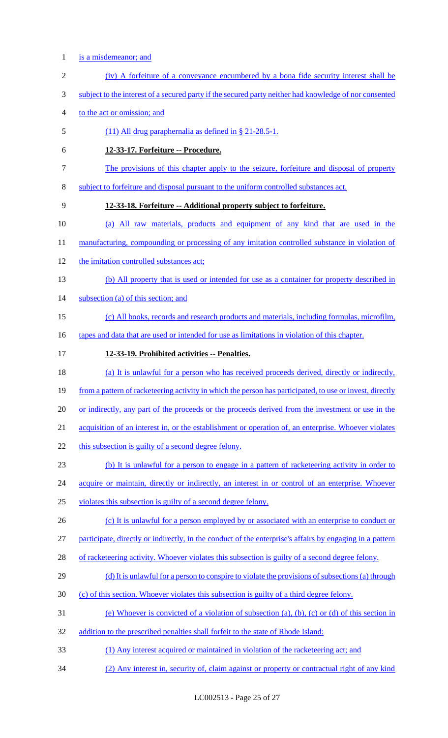- is a misdemeanor; and
- (iv) A forfeiture of a conveyance encumbered by a bona fide security interest shall be
- subject to the interest of a secured party if the secured party neither had knowledge of nor consented
- to the act or omission; and
- (11) All drug paraphernalia as defined in § 21-28.5-1.
- **12-33-17. Forfeiture -- Procedure.**
- The provisions of this chapter apply to the seizure, forfeiture and disposal of property
- subject to forfeiture and disposal pursuant to the uniform controlled substances act.

### **12-33-18. Forfeiture -- Additional property subject to forfeiture.**

- (a) All raw materials, products and equipment of any kind that are used in the
- 11 manufacturing, compounding or processing of any imitation controlled substance in violation of
- 12 the imitation controlled substances act;
- (b) All property that is used or intended for use as a container for property described in
- subsection (a) of this section; and
- (c) All books, records and research products and materials, including formulas, microfilm,
- 16 tapes and data that are used or intended for use as limitations in violation of this chapter.
- **12-33-19. Prohibited activities -- Penalties.**

(a) It is unlawful for a person who has received proceeds derived, directly or indirectly,

- 19 from a pattern of racketeering activity in which the person has participated, to use or invest, directly
- 20 or indirectly, any part of the proceeds or the proceeds derived from the investment or use in the
- acquisition of an interest in, or the establishment or operation of, an enterprise. Whoever violates
- 22 this subsection is guilty of a second degree felony.
- (b) It is unlawful for a person to engage in a pattern of racketeering activity in order to
- 24 acquire or maintain, directly or indirectly, an interest in or control of an enterprise. Whoever
- violates this subsection is guilty of a second degree felony.
- 26 (c) It is unlawful for a person employed by or associated with an enterprise to conduct or

participate, directly or indirectly, in the conduct of the enterprise's affairs by engaging in a pattern

- 28 of racketeering activity. Whoever violates this subsection is guilty of a second degree felony.
- 29 (d) It is unlawful for a person to conspire to violate the provisions of subsections (a) through
- (c) of this section. Whoever violates this subsection is guilty of a third degree felony.
- (e) Whoever is convicted of a violation of subsection (a), (b), (c) or (d) of this section in
- addition to the prescribed penalties shall forfeit to the state of Rhode Island:
- (1) Any interest acquired or maintained in violation of the racketeering act; and
- (2) Any interest in, security of, claim against or property or contractual right of any kind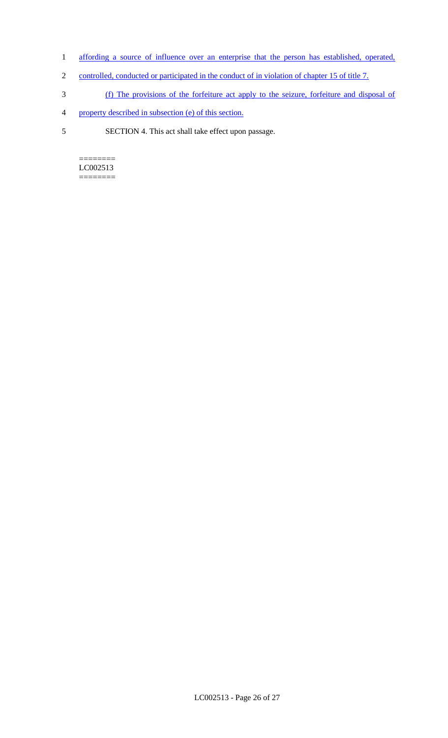- 1 affording a source of influence over an enterprise that the person has established, operated,
- 2 controlled, conducted or participated in the conduct of in violation of chapter 15 of title 7.
- 3 (f) The provisions of the forfeiture act apply to the seizure, forfeiture and disposal of
- 4 property described in subsection (e) of this section.
- 5 SECTION 4. This act shall take effect upon passage.

======== LC002513 ========